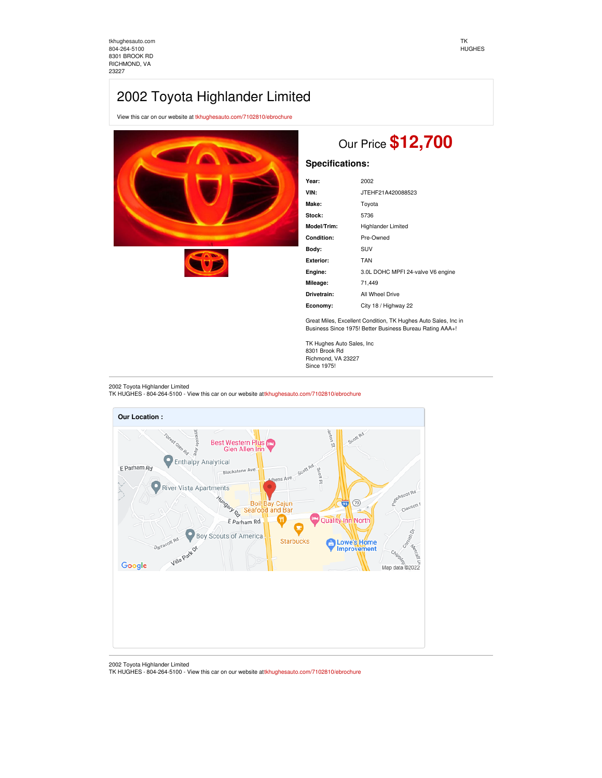[tkhughesauto.com](https://tkhughesauto.com/) [804-264-5100](tel:804-264-5100) 8301 BROOK RD RICHMOND, VA 23227

## 2002 Toyota Highlander Limited

View this car on our website at [tkhughesauto.com/7102810/ebrochure](https://tkhughesauto.com/vehicle/7102810/2002-toyota-highlander-limited-richmond-va-23227/7102810/ebrochure)





# Our Price **\$12,700**

### **Specifications:**

| Year:       | 2002                              |
|-------------|-----------------------------------|
| VIN:        | JTEHF21A420088523                 |
| Make:       | Toyota                            |
| Stock:      | 5736                              |
| Model/Trim: | <b>Highlander Limited</b>         |
| Condition:  | Pre-Owned                         |
| Body:       | SUV                               |
| Exterior:   | <b>TAN</b>                        |
| Engine:     | 3.0L DOHC MPFI 24-valve V6 engine |
| Mileage:    | 71,449                            |
| Drivetrain: | All Wheel Drive                   |
| Economy:    | City 18 / Highway 22              |
|             |                                   |

Great Miles, Excellent Condition, TK Hughes Auto Sales, Inc in Business Since 1975! Better Business Bureau Rating AAA+!

TK Hughes Auto Sales, Inc 8301 Brook Rd Richmond, VA 23227 Since 1975!

### 2002 Toyota Highlander Limited

TK HUGHES - 804-264-5100 - View this car on our website at[tkhughesauto.com/7102810/ebrochure](https://tkhughesauto.com/vehicle/7102810/2002-toyota-highlander-limited-richmond-va-23227/7102810/ebrochure)



2002 Toyota Highlander Limited TK HUGHES - 804-264-5100 - View this car on our website at[tkhughesauto.com/7102810/ebrochure](https://tkhughesauto.com/vehicle/7102810/2002-toyota-highlander-limited-richmond-va-23227/7102810/ebrochure)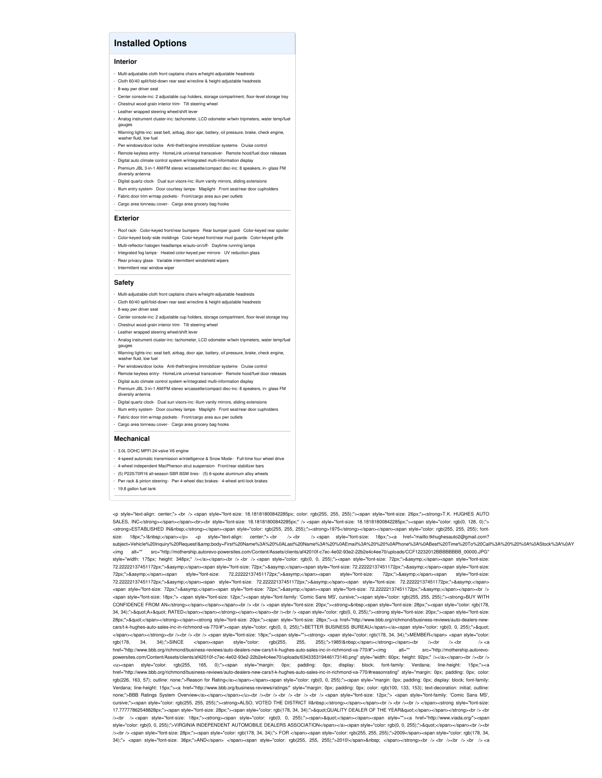### **Installed Options**

### **Interior**

- Multi-adjustable cloth front captains chairs w/height-adjustable headrests
- Cloth 60/40 split/fold-down rear seat w/recline & height-adjustable headrests
- 8-way pwr driver seat
- Center console-inc: 2 adjustable cup holders, storage compartment, floor-level storage tray - Chestnut wood-grain interior trim- Tilt steering wheel
- Leather wrapped steering wheel/shift leve
- Analog instrument cluster-inc: tachometer, LCD odometer w/twin tripmeters, water temp/fue
- gauges Warning lights-inc: seat belt, airbag, door ajar, battery, oil pressure, brake, check engine, washer fluid, low fuel
- Pwr windows/door locks- Anti-theft/engine immobilizer systems- Cruise control
- Remote keyless entry- HomeLink universal transceiver- Remote hood/fuel door re - Digital auto climate control system w/integrated multi-information display
- -<br>Premium JBL 3-in-1 AM/FM stereo w/cassette/compact disc-inc: 8 speakers, in- glass FM diversity antenna
- Digital quartz clock- Dual sun visors-inc: illum vanity mirrors, sliding exten
- Illum entry system- Door courtesy lamps- Maplight- Front seat/rear door cupholders
- Fabric door trim w/map pockets- Front/cargo area aux pwr outlets
- Cargo area tonneau cover- Cargo area grocery bag hooks

### **Exterior**

- Roof rack- Color-keyed front/rear bumpers- Rear bumper guard- Color-keyed rear spoile - Color-keyed body-side moldings- Color-keyed front/rear mud guards- Color-keyed grille
- Multi-reflector halogen headlamps w/auto-on/off- Daytime running lamps
- Integrated fog lamps- Heated color-keyed pwr mirrors- UV reduction glass
- Rear privacy glass- Variable intermittent windshield wipers
- Intermittent rear window wiper

#### **Safety**

- Multi-adjustable cloth front captains chairs w/height-adjustable headrests
- Cloth 60/40 split/fold-down rear seat w/recline & height-adjustable headrests
- 8-way pwr driver seat
- Center console-inc: 2 adjustable cup holders, storage compartment, floor-level storage tray - Chestnut wood-grain interior trim- Tilt steering wheel
- Leather wrapped steering wheel/shift leve
- Analog instrument cluster-inc: tachometer, LCD odometer w/twin tripmeters, water temp/fuel
- gauges - Warning lights-inc: seat belt, airbag, door ajar, battery, oil pressure, brake, check engine,
- washer fluid, low fuel Pwr windows/door locks- Anti-theft/engine immobilizer systems- Cruise control
- Remote keyless entry- HomeLink universal transceiver- Remote hood/fuel door releases
- Digital auto climate control system w/integrated multi-information display
- Premium JBL 3-in-1 AM/FM stereo w/cassette/compact disc-inc: 8 speakers, in- glass FM
- diversity antenna Digital quartz clock- Dual sun visors-inc: illum vanity mirrors, sliding exte
- Illum entry system- Door courtesy lamps- Maplight- Front seat/rear door cupholders
- Fabric door trim w/map pockets- Front/cargo area aux pwr outlets
- Cargo area tonneau cover- Cargo area grocery bag hooks

#### **Mechanical**

- 3.0L DOHC MPFI 24-valve V6 engine
- 4-speed automatic transmission w/intelligence & Snow Mode Full-time four wheel drive
- 4-wheel independent MacPherson strut suspension- Front/rear stabilizer bars
- (5) P225/70R16 all-season SBR BSW tires- (5) 6-spoke aluminum alloy wheels
- Pwr rack & pinion steering- Pwr 4-wheel disc brakes- 4-wheel anti-lock brakes
- 19.8 gallon fuel tank

<p style="text-align: center;"> <br /> <span style="font-size: 18.18181800842285px; color: rgb(255, 255, 255);"><span style="font-size: 26px;"><strong>T.K. HUGHES AUTO SALES, INC</strong></span></span>>>>>>style="font-size: 18.18181800842285px;" /> <span style="font-size: 18.18181800842285px;"><span style="color: rgb(0, 128, 0);"> <strong>ESTABLISHED IN&nbsp;</strong></span><span style="color: rgb(255, 255, 255);"><strong>1975</strong></span></span><span style="color: rgb(255, 255, 255); fontsize: 18px;">!&nbsp;</span></p> <p style="text-align: center;"> <br /> <br /> <span style="font-size: 18px;"><a href="mailto:tkhughesauto2@gmail.com? subject=Vehicle%20Inquiry%20Request!&body=First%20Name%3A%20%0ALast%20Name%3A%20%0AEmail%3A%20%20%0APhone%3A%0ABest%20Time%20To%20Call%3A%20%20%0A%0AStock%3A%0AY <img alt="" src="http://mothership.autorevo-powersites.com/Content/Assets/clients/af42010f-c7ec-4e02-93e2-22b2e4c4ee70/uploads/CCF12232012BBBBBBBB\_00000.JPG" style="width: 175px; height: 348px;" /></a></span><br />> <br />>< span style="color: rgb(0, 0, 255);"><span style="font-size: 72px;">&asymp;</span><span style="font-size: 72.22222137451172px;">≈</span><span style="font-size: 72px;">&asymp;</span><span style="font-size: 72.2222137451172px;">&asymp;</span><span style="font-size: 72.22222137451722x;">≈×</span><span style="font-size: 72.22222137451172px;">&asymp;</span><span style="font-size: 72px;">&asymp;</span><span style="font-size: 72.22222222137451172px;">≈</span><span style="font-size: 72.22222137451172px;">&asymp;</span><span style="font-size: 72.22222137451172px;">&asymp;</span> <span style="font-size: 72px;">&asymp;</span><span style="font-size: 72px;">&asymp;</span><span style="font-size: 72.2222137451172px;">&asymp;</span></span></span></span>></span=></span=></span=></span=></span=></span=></s <span style="font-size: 18px;"> <span style="font-size: 12px;"><span style="font-family: 'Comic Sans MS', cursive;"><span style="color: rgb(255, 255, 255);"><strong>BUY WITH CONFIDENCE FROM AN</strong></span></span></span>>br /> <br />> <br />tyle="cont-size: 20px;"><strong>&nbsp;<span style="tont-size: 28px;"><span style="color: rgb(178, 34, 34);">"A+" RATED</span></span></strong></span></span>shyation /></br></></>>cspan style="color: rgb(0, 0, 255);"><strong style="font-size: 20px;"><span style="font-size: 28px;">"</span></strong></span><strong style="font-size: 20px;"><span style="font-size: 28px;"><a href="http://www.bbb.org/richmond/business-reviews/auto-de cars/t-k-hughes-auto-sales-inc-in-richmond-va-770/#"><span style="color: rgb(0, 0, 255);">BETTER BUSINESS BUREAU</span></a><span style="color: rgb(0, 0, 255);">&quot; </span></span></strong><br /><br /> <br /> <span style="font-size: 18px;"><span style=""><strong> <span style="color: rgb(178, 34, 34);">MEMBER</span> <span style="color: rgb(178, 34, 34);">SINCE </span><span style="color: rgb(255, 255);">1985!&nbsp;</span></strong></span><br />>/>>>> </span></span></span></span></span></span></span></span></span></span></span></span--clustrong/inchimond/bu href="http://www.bbb.org/richmond/business-reviews/auto-dealers-new-cars/t-k-hughes-auto-sales-inc-in-richmond-va-770/#"><img alt="" src="http://mothership.autorevopowersites.com/Content/Assets/clients/af42010f-c7ec-4e02-93e2-22b2e4c4ee70/uploads/634335319446173140.png" style="width: 60px; height: 92px;" /></a></span><br />chr /> <u><span style="color: rgb(255, 165, 0);"><span style="margin: 0px; padding: 0px; display: block; font-family: Verdana; line-height: 15px;"><a href="http://www.bbb.org/richmond/business-reviews/auto-dealers-new-cars/t-k-hughes-auto-sales-inc-in-richmond-va-770/#reasonrating" style="margin: 0px; padding: 0px; color: rgb(226, 163, 57); outline: none;">Reason for Rating</a></span></span><span style="color: rgb(0, 0, 255);"><span style="margin: 0px; padding: 0px; display: block; font-family: Verdana; line-height: 15px;"><a href="http://www.bbb.org/business-reviews/ratings/" style="margin: 0px; padding: 0px; color: rgb(100, 133, 153); text-decoration: initial; outline:<br>none:">BBB Ratings System Overview</a></sp none;">BBB Ratings System Overview</a></span></span></u><br /><br /> <br /> <br /> <br /> <span style="font-size: 12px;"> <span style="font-family: 'Comic Sans MS', cursive;"><span style="color: rgb(255, 255);"><strong>ALSO, VOTED THE DISTRICT II&nbsp;</strong></span></span><br/></br/>/>/>/>><br/>t/>/>/>/></span><strong style="font-size: 17.77777862548828px;"><span style="font-size: 28px;"><span style="color: rgb(178, 34, 34);">&quot;QUALITY DEALER OF THE YEAR&quot;</span></span></strong><br />b </br /> /><br /> <span style="font-size: 18px;"><strong><span style="color: rgb(0, 0, 255);"><span>&quot;</span></span><span style=""><a href="http://www.viada.org/"><span style="color: rgb(0, 0, 255);">VIRGINIA INDEPENDENT AUTOMOBILE DEALERS ASSOCIATION</span></a><span style="color: rgb(0, 0, 255);">&quot;</span></span></sr></span></span></span></span></span></span></span></span></span></sp /><br /> <span style="font-size: 28px;"><span style="color: rgb(178, 34, 34);"> FOR </span><span style="color: rgb(255, 255, 255);">2009</span><span style="color: rgb(178, 34,  $34$ ;">  $\epsilon$ span style="font-size:  $36px$ ;">AND $\epsilon$ /span> $\epsilon$ /span> $\epsilon$ span style="color: rgb(255, 255, 255);">2010] $\epsilon$ /span>&phsp;  $\epsilon$ /span> $\epsilon$ /strong> $\epsilon$ hr /> $\epsilon$ hr /> $\epsilon$ hr /> $\epsilon$ hr /> $\epsilon$ hr /> $\epsilon$ hr /> $\epsilon$ hr /> $\epsilon$